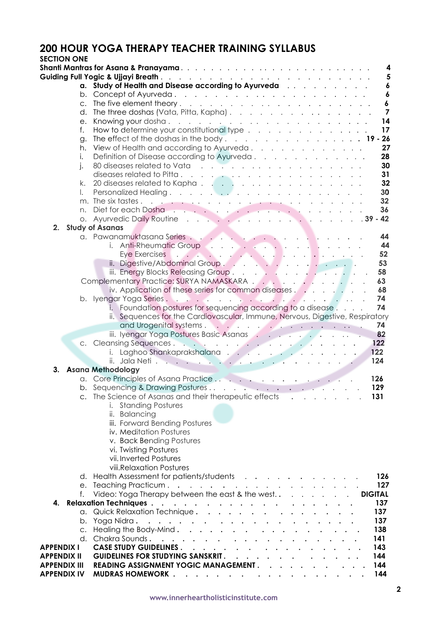# **200 HOUR YOGA THERAPY TEACHER TRAINING SYLLABUS**

| <b>SECTION ONE</b>  |              |                                                                                                                                                                                                                                                                       |
|---------------------|--------------|-----------------------------------------------------------------------------------------------------------------------------------------------------------------------------------------------------------------------------------------------------------------------|
|                     |              | 4                                                                                                                                                                                                                                                                     |
|                     |              | $5\phantom{1}$                                                                                                                                                                                                                                                        |
|                     | a.           | Study of Health and Disease according to Ayurveda<br>$\boldsymbol{6}$                                                                                                                                                                                                 |
|                     | b.           | $\boldsymbol{6}$                                                                                                                                                                                                                                                      |
|                     | $C_{\cdot}$  | $\boldsymbol{6}$                                                                                                                                                                                                                                                      |
|                     | d.           | The three doshas (Vata, Pitta, Kapha).<br>$\overline{\phantom{a}}$                                                                                                                                                                                                    |
|                     | e.           | 14                                                                                                                                                                                                                                                                    |
|                     | f.           | 17<br>How to determine your constitutional type $\ldots$                                                                                                                                                                                                              |
|                     | g.           | The effect of the doshas in the body. $\ldots$ $\ldots$ $\ldots$ $\ldots$ $\ldots$ $\ldots$ <b>19 - 26</b>                                                                                                                                                            |
|                     | h.           | View of Health and according to Ayurveda.<br>27                                                                                                                                                                                                                       |
|                     | $\mathsf{L}$ | Definition of Disease according to Ayurveda.<br>28                                                                                                                                                                                                                    |
|                     | $\mathsf{L}$ | 30                                                                                                                                                                                                                                                                    |
|                     |              | 31                                                                                                                                                                                                                                                                    |
|                     | k.           | 32<br>20 diseases related to Kapha.                                                                                                                                                                                                                                   |
|                     |              | 30                                                                                                                                                                                                                                                                    |
|                     |              | 32 <sub>2</sub>                                                                                                                                                                                                                                                       |
|                     | n.           | 36                                                                                                                                                                                                                                                                    |
|                     |              | o. Ayurvedic Daily Routine 39 - 42                                                                                                                                                                                                                                    |
| 2.                  |              | <b>Study of Asanas</b>                                                                                                                                                                                                                                                |
|                     |              | a. Pawanamuktasana Series<br>44                                                                                                                                                                                                                                       |
|                     |              | 44<br>i. Anti-Rheumatic Group                                                                                                                                                                                                                                         |
|                     |              | 52                                                                                                                                                                                                                                                                    |
|                     |              | 53                                                                                                                                                                                                                                                                    |
|                     |              | iii. Energy Blocks Releasing Group.<br>58                                                                                                                                                                                                                             |
|                     |              | Complementary Practice: SURYA NAMASKARA<br>63                                                                                                                                                                                                                         |
|                     |              | iv. Application of these series for common diseases $\ldots$<br>68<br>74                                                                                                                                                                                              |
|                     |              | 74                                                                                                                                                                                                                                                                    |
|                     |              | i. Foundation postures for sequencing according to a disease<br>ii. Sequences for the Cardiovascular, Immune, Nervous, Digestive, Respiratory                                                                                                                         |
|                     |              | and Urogenital systems<br>74                                                                                                                                                                                                                                          |
|                     |              | iii. Iyengar Yoga Postures Basic Asanas<br>82                                                                                                                                                                                                                         |
|                     |              | 122<br>c. Cleansing Sequences.                                                                                                                                                                                                                                        |
|                     |              | i. Laghoo Shankaprakshalana<br>122                                                                                                                                                                                                                                    |
|                     |              | 124                                                                                                                                                                                                                                                                   |
| 3.                  |              | <b>Asana Methodology</b>                                                                                                                                                                                                                                              |
|                     |              | 126                                                                                                                                                                                                                                                                   |
|                     |              | b. Sequencing & Drawing Postures<br>129                                                                                                                                                                                                                               |
|                     |              | The Science of Asanas and their therapeutic effects $\cdot \cdot \cdot \cdot$<br>131                                                                                                                                                                                  |
|                     |              | i. Standing Postures                                                                                                                                                                                                                                                  |
|                     |              | ii. Balancing                                                                                                                                                                                                                                                         |
|                     |              | iii. Forward Bending Postures                                                                                                                                                                                                                                         |
|                     |              | iv. Meditation Postures                                                                                                                                                                                                                                               |
|                     |              | v. Back Bending Postures                                                                                                                                                                                                                                              |
|                     |              | vi. Twisting Postures                                                                                                                                                                                                                                                 |
|                     |              | vii. Inverted Postures                                                                                                                                                                                                                                                |
|                     |              | viii.Relaxation Postures                                                                                                                                                                                                                                              |
|                     |              | d. Health Assessment for patients/students<br>126                                                                                                                                                                                                                     |
|                     |              | 127                                                                                                                                                                                                                                                                   |
|                     | f.           | <b>DIGITAL</b>                                                                                                                                                                                                                                                        |
| 4.                  |              | 137<br><b>Relaxation Techniques.</b><br>. The contract of the contract of the contract of the contract of the contract of the contract of the contract of the contract of the contract of the contract of the contract of the contract of the contract of the contrac |
|                     |              | a. Quick Relaxation Technique.<br>137                                                                                                                                                                                                                                 |
|                     |              | 137<br>b. Yoga Nidra.<br>$\mathcal{A}$ , which is a set of the set of the set of the set of the set of the $\mathcal{A}$                                                                                                                                              |
|                     |              | c. Healing the Body-Mind.<br>138                                                                                                                                                                                                                                      |
|                     |              | d. Chakra Sounds.<br>141                                                                                                                                                                                                                                              |
| <b>APPENDIX I</b>   |              | CASE STUDY GUIDELINES<br>143                                                                                                                                                                                                                                          |
| <b>APPENDIX II</b>  |              | <b>GUIDELINES FOR STUDYING SANSKRIT.</b><br>144                                                                                                                                                                                                                       |
| <b>APPENDIX III</b> |              | READING ASSIGNMENT YOGIC MANAGEMENT.<br>144                                                                                                                                                                                                                           |
| <b>APPENDIX IV</b>  |              | MUDRAS HOMEWORK<br>144                                                                                                                                                                                                                                                |